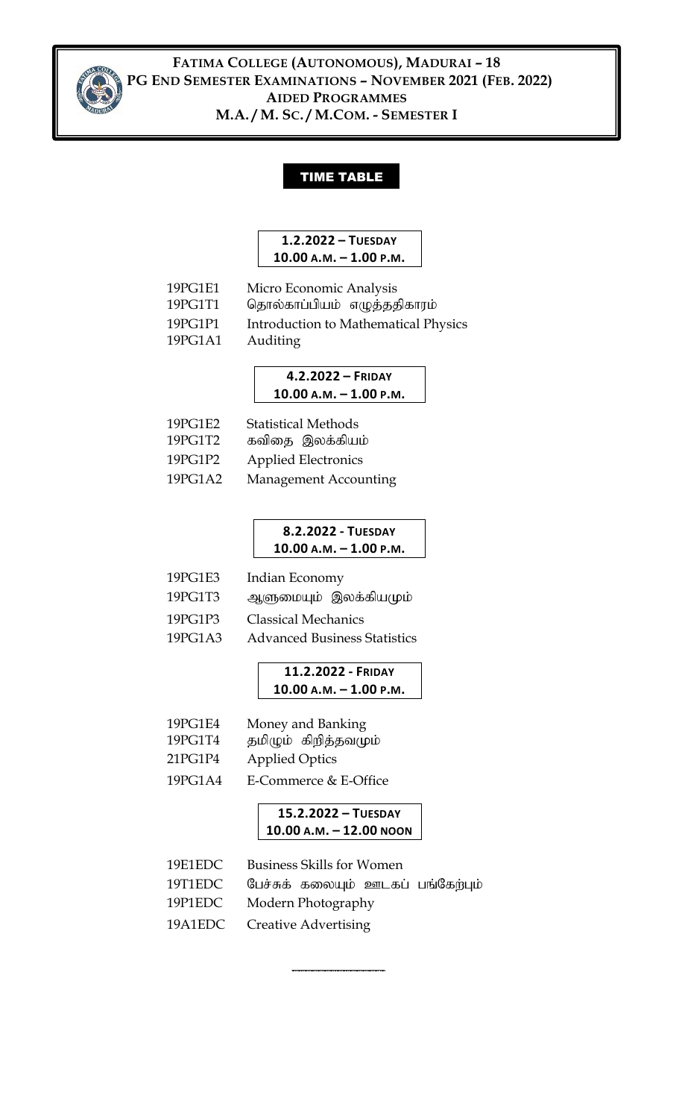

**FATIMA COLLEGE (AUTONOMOUS), MADURAI – 18 PG END SEMESTER EXAMINATIONS – NOVEMBER 2021 (FEB. 2022) AIDED PROGRAMMES M.A. / M. SC. / M.COM. - SEMESTER I**

#### TIME TABLE

#### **1.2.2022 – TUESDAY 10.00 A.M. – 1.00 P.M.**

| 19PG1E1 | Micro Economic Analysis     |
|---------|-----------------------------|
| 19PC1T1 | கொல்காப்பியம் எழுத்ததிகாாம் |

19PG1T1 njhy;fhg;gpak; vOj;jjpfhuk ;

19PG1P1 Introduction to Mathematical Physics

19PG1A1 Auditing

#### **4.2.2022 – FRIDAY 10.00 A.M. – 1.00 P.M.**

| 19PG1E2<br>19PG1T2 | <b>Statistical Methods</b><br>கவிதை இலக்கியம் |
|--------------------|-----------------------------------------------|
| 19PG1P2            | <b>Applied Electronics</b>                    |
| 19PG1A2            | Management Accounting                         |

#### **8.2.2022 - TUESDAY 10.00 A.M. – 1.00 P.M.**

- 19PG1E3 Indian Economy
- 19PG1T3 ஆளுமையும் இலக்கியமும்
- 19PG1P3 Classical Mechanics
- 19PG1A3 Advanced Business Statistics

#### **11.2.2022 - FRIDAY 10.00 A.M. – 1.00 P.M.**

- 19PG1E4 Money and Banking
- 19PG1T4 தமிழும் கிறித்தவமும்
- 21PG1P4 Applied Optics
- 19PG1A4 E-Commerce & E-Office

#### **15.2.2022 – TUESDAY 10.00 A.M. – 12.00 NOON**

- 19E1EDC Business Skills for Women
- 19T1EDC பேச்சுக் கலையும் ஊடகப் பங்கேற்பும்

**\_\_\_\_\_\_\_\_\_\_\_\_\_\_**

- 19P1EDC Modern Photography
- 19A1EDC Creative Advertising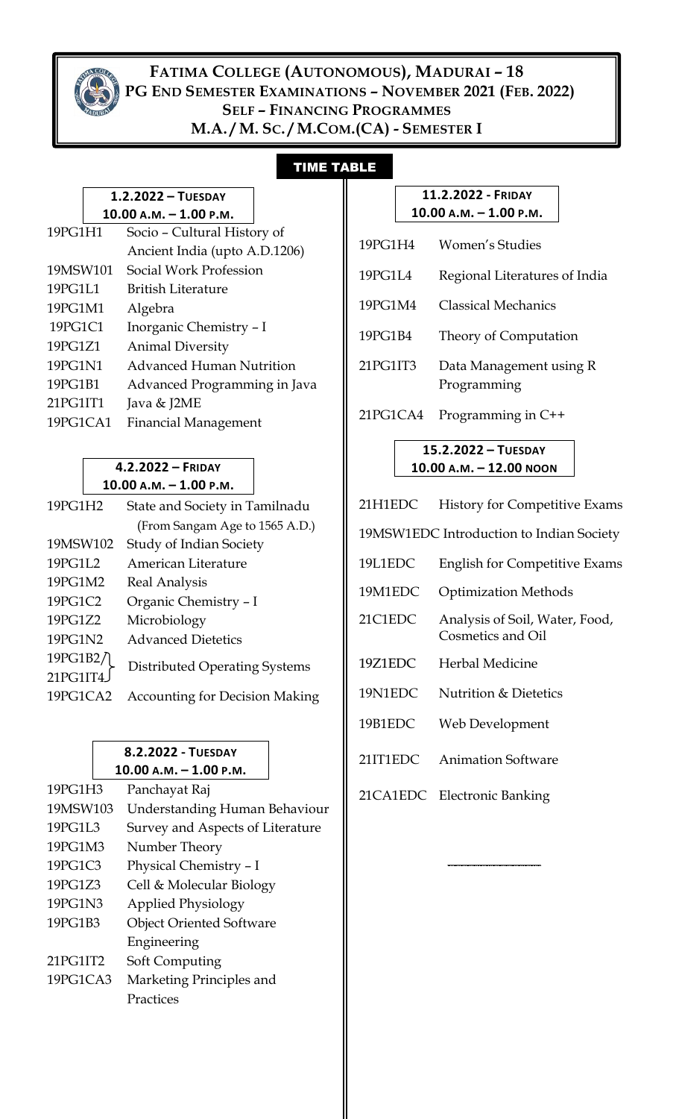

### **FATIMA COLLEGE (AUTONOMOUS), MADURAI – 18 PG END SEMESTER EXAMINATIONS - NOVEMBER 2021 (FEB. 2022) SELF – FINANCING PROGRAMMES M.A. / M. SC. / M.COM.(CA) - SEMESTER I**

## TIME TABLE

٦

|                          |  | $1.2.2022 - TUESDAY$            |
|--------------------------|--|---------------------------------|
| $10.00 A.M. - 1.00 P.M.$ |  |                                 |
| 19PG1H1                  |  | Socio – Cultural History of     |
|                          |  | Ancient India (upto A.D.1206)   |
| 19MSW101                 |  | Social Work Profession          |
| 19PG1L1                  |  | British Literature              |
| 19PG1M1                  |  | Algebra                         |
| 19PG1C1                  |  | Inorganic Chemistry - I         |
| 19PG1Z1                  |  | <b>Animal Diversity</b>         |
| 19PG1N1                  |  | <b>Advanced Human Nutrition</b> |
| 19PG1B1                  |  | Advanced Programming in Java    |
| 21PG1IT1                 |  | Java & J2ME                     |
| 19PG1CA1                 |  | <b>Financial Management</b>     |
|                          |  |                                 |

#### **4.2.2022 – FRIDAY 10.00 A.M. – 1.00 P.M.**

| 19PG1H2  | State and Society in Tamilnadu        |
|----------|---------------------------------------|
|          | (From Sangam Age to 1565 A.D.)        |
| 19MSW102 | Study of Indian Society               |
| 19PG1L2  | American Literature                   |
| 19PG1M2  | Real Analysis                         |
| 19PG1C2  | Organic Chemistry - I                 |
| 19PG1Z2  | Microbiology                          |
| 19PG1N2  | <b>Advanced Dietetics</b>             |
| 19PG1B2/ | <b>Distributed Operating Systems</b>  |
| 21PG1IT4 |                                       |
| 19PG1CA2 | <b>Accounting for Decision Making</b> |
|          |                                       |

#### **8.2.2022 - TUESDAY 10.00 A.M. – 1.00 P.M.**

| 19PG1H3  | Panchayat Raj                    |
|----------|----------------------------------|
| 19MSW103 | Understanding Human Behaviour    |
| 19PG1L3  | Survey and Aspects of Literature |
| 19PG1M3  | Number Theory                    |
| 19PG1C3  | Physical Chemistry - I           |
| 19PG1Z3  | Cell & Molecular Biology         |
| 19PG1N3  | <b>Applied Physiology</b>        |
| 19PG1B3  | <b>Object Oriented Software</b>  |
|          | Engineering                      |
| 21PG1IT2 | Soft Computing                   |
| 19PG1CA3 | Marketing Principles and         |
|          | Practices                        |

#### **11.2.2022 - FRIDAY 10.00 A.M. – 1.00 P.M.**

| 19PG1H4  | Women's Studies                        |
|----------|----------------------------------------|
| 19PG1L4  | Regional Literatures of India          |
| 19PG1M4  | Classical Mechanics                    |
| 19PG1B4  | Theory of Computation                  |
| 21PG1IT3 | Data Management using R<br>Programming |

21PG1CA4 Programming in C++

#### **15.2.2022 – TUESDAY 10.00 A.M. – 12.00 NOON**

| 21H1EDC                                  | <b>History for Competitive Exams</b>                |  |
|------------------------------------------|-----------------------------------------------------|--|
| 19MSW1EDC Introduction to Indian Society |                                                     |  |
| 19L1EDC                                  | <b>English for Competitive Exams</b>                |  |
| 19M1EDC                                  | <b>Optimization Methods</b>                         |  |
| 21C1EDC                                  | Analysis of Soil, Water, Food,<br>Cosmetics and Oil |  |
| 19Z1EDC                                  | Herbal Medicine                                     |  |
| 19N1EDC                                  | <b>Nutrition &amp; Dietetics</b>                    |  |
| 19B1EDC                                  | Web Development                                     |  |
| 21IT1EDC                                 | <b>Animation Software</b>                           |  |
| 21CA1EDC                                 | <b>Electronic Banking</b>                           |  |

**\_\_\_\_\_\_\_\_\_\_\_\_\_\_\_\_\_\_\_\_\_\_\_\_\_\_\_\_\_\_\_\_\_\_\_**